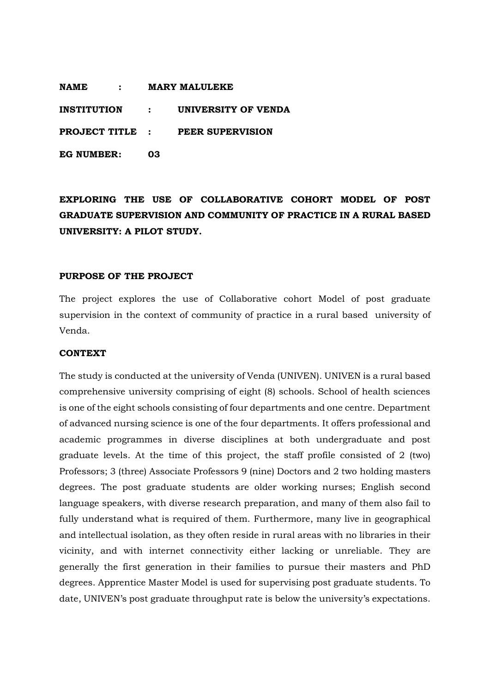**NAME : MARY MALULEKE**

**INSTITUTION : UNIVERSITY OF VENDA**

**PROJECT TITLE : PEER SUPERVISION**

**EG NUMBER: 03**

# **EXPLORING THE USE OF COLLABORATIVE COHORT MODEL OF POST GRADUATE SUPERVISION AND COMMUNITY OF PRACTICE IN A RURAL BASED UNIVERSITY: A PILOT STUDY.**

## **PURPOSE OF THE PROJECT**

The project explores the use of Collaborative cohort Model of post graduate supervision in the context of community of practice in a rural based university of Venda.

#### **CONTEXT**

The study is conducted at the university of Venda (UNIVEN). UNIVEN is a rural based comprehensive university comprising of eight (8) schools. School of health sciences is one of the eight schools consisting of four departments and one centre. Department of advanced nursing science is one of the four departments. It offers professional and academic programmes in diverse disciplines at both undergraduate and post graduate levels. At the time of this project, the staff profile consisted of 2 (two) Professors; 3 (three) Associate Professors 9 (nine) Doctors and 2 two holding masters degrees. The post graduate students are older working nurses; English second language speakers, with diverse research preparation, and many of them also fail to fully understand what is required of them. Furthermore, many live in geographical and intellectual isolation, as they often reside in rural areas with no libraries in their vicinity, and with internet connectivity either lacking or unreliable. They are generally the first generation in their families to pursue their masters and PhD degrees. Apprentice Master Model is used for supervising post graduate students. To date, UNIVEN's post graduate throughput rate is below the university's expectations.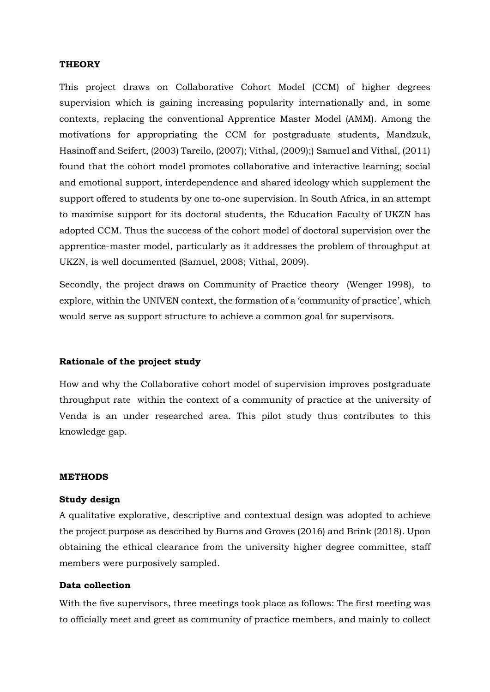## **THEORY**

This project draws on Collaborative Cohort Model (CCM) of higher degrees supervision which is gaining increasing popularity internationally and, in some contexts, replacing the conventional Apprentice Master Model (AMM). Among the motivations for appropriating the CCM for postgraduate students, Mandzuk, Hasinoff and Seifert, (2003) Tareilo, (2007); Vithal, (2009);) Samuel and Vithal, (2011) found that the cohort model promotes collaborative and interactive learning; social and emotional support, interdependence and shared ideology which supplement the support offered to students by one to-one supervision. In South Africa, in an attempt to maximise support for its doctoral students, the Education Faculty of UKZN has adopted CCM. Thus the success of the cohort model of doctoral supervision over the apprentice-master model, particularly as it addresses the problem of throughput at UKZN, is well documented (Samuel, 2008; Vithal, 2009).

Secondly, the project draws on Community of Practice theory (Wenger 1998), to explore, within the UNIVEN context, the formation of a 'community of practice', which would serve as support structure to achieve a common goal for supervisors.

## **Rationale of the project study**

How and why the Collaborative cohort model of supervision improves postgraduate throughput rate within the context of a community of practice at the university of Venda is an under researched area. This pilot study thus contributes to this knowledge gap.

## **METHODS**

## **Study design**

A qualitative explorative, descriptive and contextual design was adopted to achieve the project purpose as described by Burns and Groves (2016) and Brink (2018). Upon obtaining the ethical clearance from the university higher degree committee, staff members were purposively sampled.

## **Data collection**

With the five supervisors, three meetings took place as follows: The first meeting was to officially meet and greet as community of practice members, and mainly to collect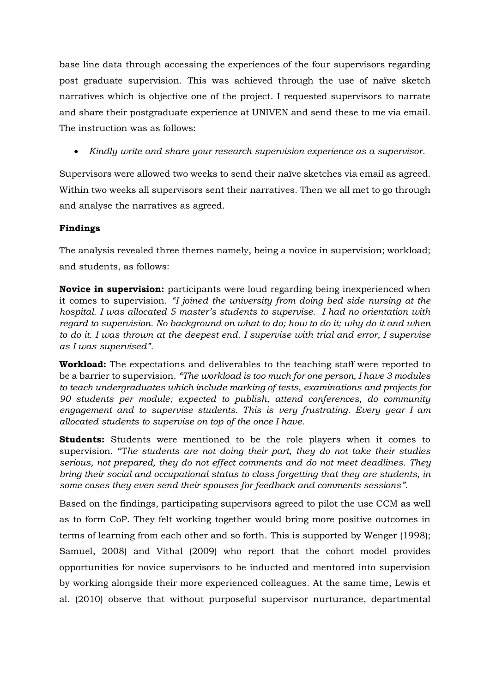base line data through accessing the experiences of the four supervisors regarding post graduate supervision. This was achieved through the use of naïve sketch narratives which is objective one of the project. I requested supervisors to narrate and share their postgraduate experience at UNIVEN and send these to me via email. The instruction was as follows:

*Kindly write and share your research supervision experience as a supervisor.*

Supervisors were allowed two weeks to send their naïve sketches via email as agreed. Within two weeks all supervisors sent their narratives. Then we all met to go through and analyse the narratives as agreed.

# **Findings**

The analysis revealed three themes namely, being a novice in supervision; workload; and students, as follows:

**Novice in supervision:** participants were loud regarding being inexperienced when it comes to supervision. *"I joined the university from doing bed side nursing at the hospital. I was allocated 5 master's students to supervise. I had no orientation with regard to supervision. No background on what to do; how to do it; why do it and when to do it. I was thrown at the deepest end. I supervise with trial and error, I supervise as I was supervised".*

**Workload:** The expectations and deliverables to the teaching staff were reported to be a barrier to supervision. *"The workload is too much for one person, I have 3 modules to teach undergraduates which include marking of tests, examinations and projects for 90 students per module; expected to publish, attend conferences, do community engagement and to supervise students. This is very frustrating. Every year I am allocated students to supervise on top of the once I have.*

**Students:** Students were mentioned to be the role players when it comes to supervision. "T*he students are not doing their part, they do not take their studies serious, not prepared, they do not effect comments and do not meet deadlines. They bring their social and occupational status to class forgetting that they are students, in some cases they even send their spouses for feedback and comments sessions".*

Based on the findings, participating supervisors agreed to pilot the use CCM as well as to form CoP. They felt working together would bring more positive outcomes in terms of learning from each other and so forth. This is supported by Wenger (1998); Samuel, 2008) and Vithal (2009) who report that the cohort model provides opportunities for novice supervisors to be inducted and mentored into supervision by working alongside their more experienced colleagues. At the same time, Lewis et al. (2010) observe that without purposeful supervisor nurturance, departmental